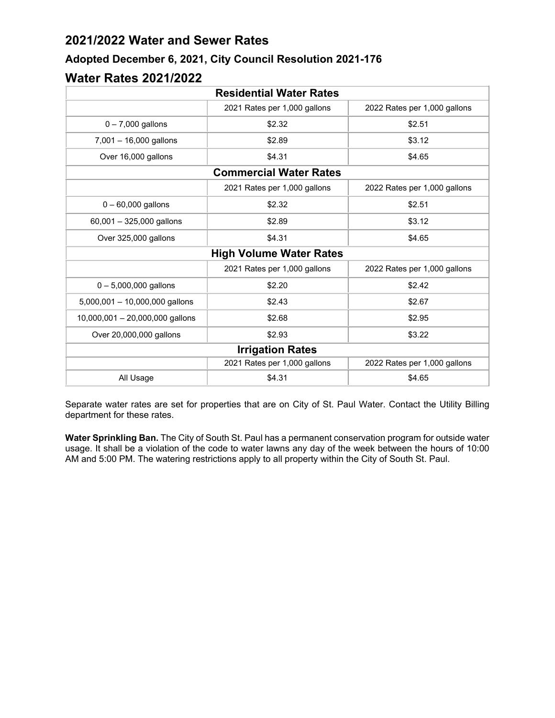## **2021/2022 Water and Sewer Rates**

## **Adopted December 6, 2021, City Council Resolution 2021-176**

## **Water Rates 2021/2022**

| <b>Residential Water Rates</b>                               |                              |                              |  |
|--------------------------------------------------------------|------------------------------|------------------------------|--|
|                                                              | 2021 Rates per 1,000 gallons | 2022 Rates per 1,000 gallons |  |
| $0 - 7,000$ gallons                                          | \$2.32                       | \$2.51                       |  |
| 7,001 - 16,000 gallons                                       | \$2.89                       | \$3.12                       |  |
| Over 16,000 gallons                                          | \$4.31                       | \$4.65                       |  |
| <b>Commercial Water Rates</b>                                |                              |                              |  |
|                                                              | 2021 Rates per 1,000 gallons | 2022 Rates per 1,000 gallons |  |
| $0 - 60,000$ gallons                                         | \$2.32                       | \$2.51                       |  |
| 60,001 - 325,000 gallons                                     | \$2.89                       | \$3.12                       |  |
| Over 325,000 gallons                                         | \$4.31                       | \$4.65                       |  |
| <b>High Volume Water Rates</b>                               |                              |                              |  |
| 2021 Rates per 1,000 gallons<br>2022 Rates per 1,000 gallons |                              |                              |  |
| $0 - 5,000,000$ gallons                                      | \$2.20                       | \$2.42                       |  |
| $5,000,001 - 10,000,000$ gallons                             | \$2.43                       | \$2.67                       |  |
| $10,000,001 - 20,000,000$ gallons                            | \$2.68                       | \$2.95                       |  |
| Over 20,000,000 gallons                                      | \$2.93                       | \$3.22                       |  |
| <b>Irrigation Rates</b>                                      |                              |                              |  |
|                                                              | 2021 Rates per 1,000 gallons | 2022 Rates per 1,000 gallons |  |
| All Usage                                                    | \$4.31                       | \$4.65                       |  |

Separate water rates are set for properties that are on City of St. Paul Water. Contact the Utility Billing department for these rates.

**Water Sprinkling Ban.** The City of South St. Paul has a permanent conservation program for outside water usage. It shall be a violation of the code to water lawns any day of the week between the hours of 10:00 AM and 5:00 PM. The watering restrictions apply to all property within the City of South St. Paul.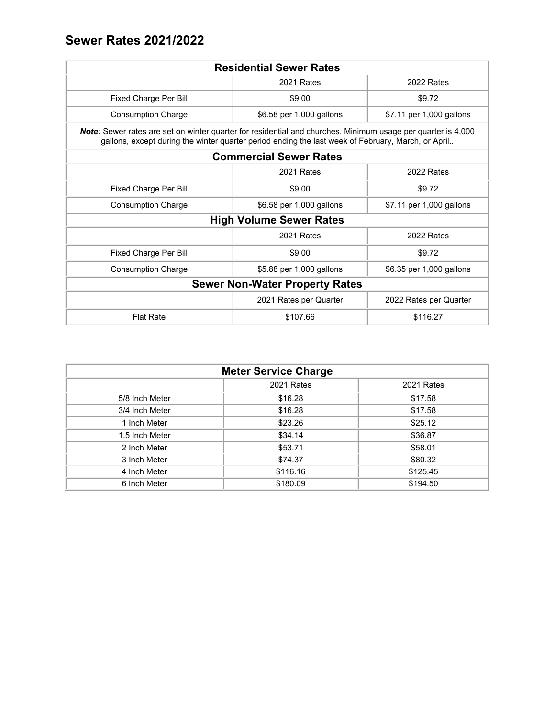## **Sewer Rates 2021/2022**

| <b>Residential Sewer Rates</b>                                                                                                                                                                                            |                          |                          |  |
|---------------------------------------------------------------------------------------------------------------------------------------------------------------------------------------------------------------------------|--------------------------|--------------------------|--|
|                                                                                                                                                                                                                           | 2021 Rates               | 2022 Rates               |  |
| Fixed Charge Per Bill                                                                                                                                                                                                     | \$9.00                   | \$9.72                   |  |
| <b>Consumption Charge</b>                                                                                                                                                                                                 | \$6.58 per 1,000 gallons | \$7.11 per 1,000 gallons |  |
| <b>Note:</b> Sewer rates are set on winter quarter for residential and churches. Minimum usage per quarter is 4,000<br>gallons, except during the winter quarter period ending the last week of February, March, or April |                          |                          |  |
| <b>Commercial Sewer Rates</b>                                                                                                                                                                                             |                          |                          |  |
|                                                                                                                                                                                                                           | 2021 Rates               | 2022 Rates               |  |
| Fixed Charge Per Bill                                                                                                                                                                                                     | \$9.00                   | \$9.72                   |  |
| <b>Consumption Charge</b>                                                                                                                                                                                                 | \$6.58 per 1,000 gallons | \$7.11 per 1,000 gallons |  |
| <b>High Volume Sewer Rates</b>                                                                                                                                                                                            |                          |                          |  |
| 2021 Rates<br>2022 Rates                                                                                                                                                                                                  |                          |                          |  |
| Fixed Charge Per Bill                                                                                                                                                                                                     | \$9.00                   | \$9.72                   |  |
| <b>Consumption Charge</b>                                                                                                                                                                                                 | \$5.88 per 1,000 gallons | \$6.35 per 1,000 gallons |  |
| <b>Sewer Non-Water Property Rates</b>                                                                                                                                                                                     |                          |                          |  |
| 2021 Rates per Quarter<br>2022 Rates per Quarter                                                                                                                                                                          |                          |                          |  |
| <b>Flat Rate</b>                                                                                                                                                                                                          | \$107.66                 | \$116.27                 |  |

| <b>Meter Service Charge</b> |            |            |
|-----------------------------|------------|------------|
|                             | 2021 Rates | 2021 Rates |
| 5/8 Inch Meter              | \$16.28    | \$17.58    |
| 3/4 Inch Meter              | \$16.28    | \$17.58    |
| 1 Inch Meter                | \$23.26    | \$25.12    |
| 1.5 Inch Meter              | \$34.14    | \$36.87    |
| 2 Inch Meter                | \$53.71    | \$58.01    |
| 3 Inch Meter                | \$74.37    | \$80.32    |
| 4 Inch Meter                | \$116.16   | \$125.45   |
| 6 Inch Meter                | \$180.09   | \$194.50   |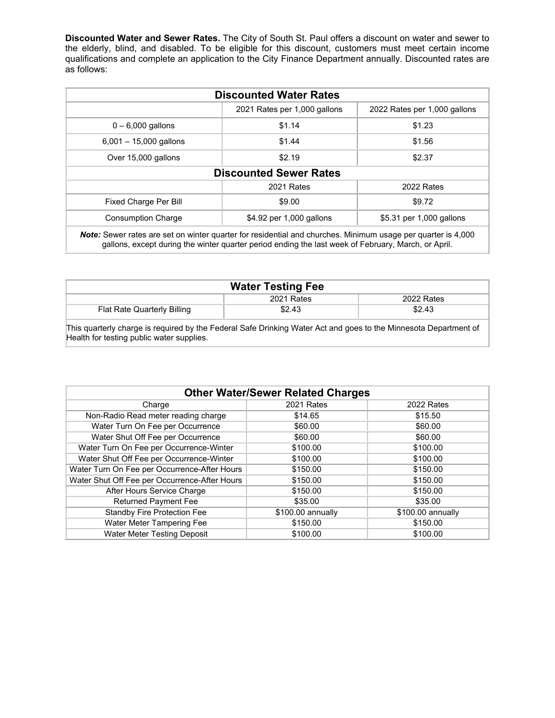**Discounted Water and Sewer Rates.** The City of South St. Paul offers a discount on water and sewer to the elderly, blind, and disabled. To be eligible for this discount, customers must meet certain income qualifications and complete an application to the City Finance Department annually. Discounted rates are as follows:

| <b>Discounted Water Rates</b>                                                                                                                                                                                              |                              |                              |  |
|----------------------------------------------------------------------------------------------------------------------------------------------------------------------------------------------------------------------------|------------------------------|------------------------------|--|
|                                                                                                                                                                                                                            | 2021 Rates per 1,000 gallons | 2022 Rates per 1,000 gallons |  |
| $0 - 6,000$ gallons                                                                                                                                                                                                        | \$1.14                       | \$1.23                       |  |
| $6,001 - 15,000$ gallons                                                                                                                                                                                                   | \$1.44                       | \$1.56                       |  |
| Over 15,000 gallons                                                                                                                                                                                                        | \$2.19                       | \$2.37                       |  |
| <b>Discounted Sewer Rates</b>                                                                                                                                                                                              |                              |                              |  |
| 2021 Rates<br>2022 Rates                                                                                                                                                                                                   |                              |                              |  |
| Fixed Charge Per Bill                                                                                                                                                                                                      | \$9.00                       | \$9.72                       |  |
| <b>Consumption Charge</b>                                                                                                                                                                                                  | \$4.92 per 1,000 gallons     | \$5.31 per 1,000 gallons     |  |
| <b>Note:</b> Sewer rates are set on winter quarter for residential and churches. Minimum usage per quarter is 4,000<br>gallons, except during the winter quarter period ending the last week of February, March, or April. |                              |                              |  |

| <b>Water Testing Fee</b>    |            |            |
|-----------------------------|------------|------------|
|                             | 2021 Rates | 2022 Rates |
| Flat Rate Quarterly Billing | \$2.43     | \$2.43     |
|                             |            |            |

This quarterly charge is required by the Federal Safe Drinking Water Act and goes to the Minnesota Department of Health for testing public water supplies.

| <b>Other Water/Sewer Related Charges</b>      |                   |                   |  |
|-----------------------------------------------|-------------------|-------------------|--|
| Charge                                        | 2021 Rates        | 2022 Rates        |  |
| Non-Radio Read meter reading charge           | \$14.65           | \$15.50           |  |
| Water Turn On Fee per Occurrence              | \$60.00           | \$60.00           |  |
| Water Shut Off Fee per Occurrence             | \$60.00           | \$60.00           |  |
| Water Turn On Fee per Occurrence-Winter       | \$100.00          | \$100.00          |  |
| Water Shut Off Fee per Occurrence-Winter      | \$100.00          | \$100.00          |  |
| Water Turn On Fee per Occurrence-After Hours  | \$150.00          | \$150.00          |  |
| Water Shut Off Fee per Occurrence-After Hours | \$150.00          | \$150.00          |  |
| After Hours Service Charge                    | \$150.00          | \$150.00          |  |
| <b>Returned Payment Fee</b>                   | \$35.00           | \$35.00           |  |
| <b>Standby Fire Protection Fee</b>            | \$100.00 annually | \$100.00 annually |  |
| Water Meter Tampering Fee                     | \$150.00          | \$150.00          |  |
| Water Meter Testing Deposit                   | \$100.00          | \$100.00          |  |